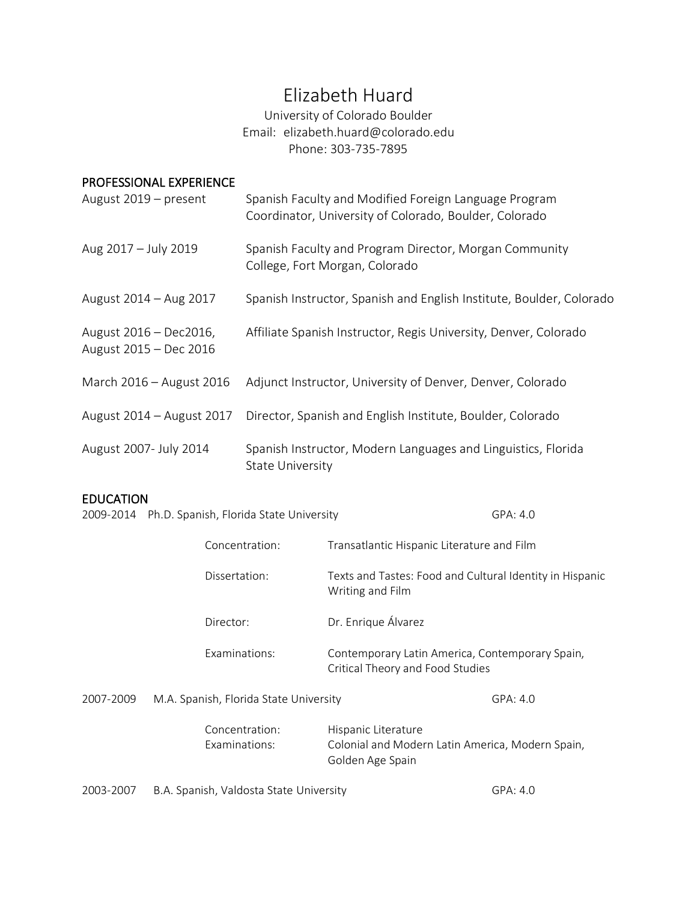# Elizabeth Huard

University of Colorado Boulder Email: elizabeth.huard@colorado.edu Phone: 303-735-7895

## PROFESSIONAL EXPERIENCE

| August 2019 - present                            | Spanish Faculty and Modified Foreign Language Program<br>Coordinator, University of Colorado, Boulder, Colorado |
|--------------------------------------------------|-----------------------------------------------------------------------------------------------------------------|
| Aug 2017 - July 2019                             | Spanish Faculty and Program Director, Morgan Community<br>College, Fort Morgan, Colorado                        |
| August 2014 - Aug 2017                           | Spanish Instructor, Spanish and English Institute, Boulder, Colorado                                            |
| August 2016 - Dec2016,<br>August 2015 - Dec 2016 | Affiliate Spanish Instructor, Regis University, Denver, Colorado                                                |
| March 2016 - August 2016                         | Adjunct Instructor, University of Denver, Denver, Colorado                                                      |
| August 2014 - August 2017                        | Director, Spanish and English Institute, Boulder, Colorado                                                      |
| August 2007- July 2014                           | Spanish Instructor, Modern Languages and Linguistics, Florida<br><b>State University</b>                        |

## EDUCATION

|  | 2009-2014 Ph.D. Spanish, Florida State University | GPA: 4.0 |
|--|---------------------------------------------------|----------|
|--|---------------------------------------------------|----------|

|           | Concentration:                          | Transatlantic Hispanic Literature and Film                                                  |
|-----------|-----------------------------------------|---------------------------------------------------------------------------------------------|
|           | Dissertation:                           | Texts and Tastes: Food and Cultural Identity in Hispanic<br>Writing and Film                |
|           | Director:                               | Dr. Enrique Álvarez                                                                         |
|           | Examinations:                           | Contemporary Latin America, Contemporary Spain,<br>Critical Theory and Food Studies         |
| 2007-2009 | M.A. Spanish, Florida State University  | GPA: 4.0                                                                                    |
|           | Concentration:<br>Examinations:         | Hispanic Literature<br>Colonial and Modern Latin America, Modern Spain,<br>Golden Age Spain |
| 2003-2007 | B.A. Spanish, Valdosta State University | GPA: 4.0                                                                                    |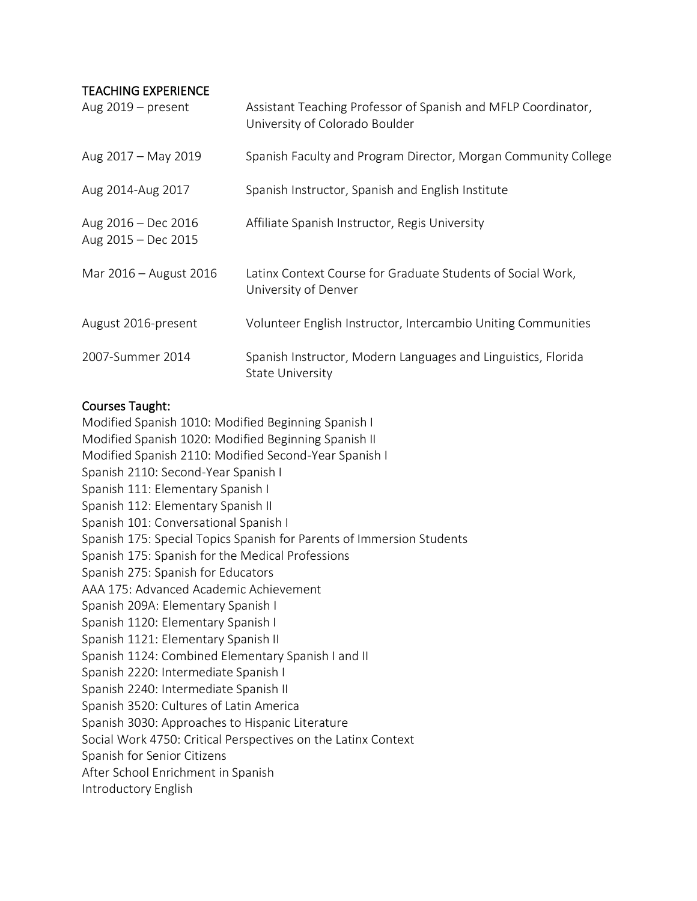#### TEACHING EXPERIENCE

| Aug $2019$ – present                       | Assistant Teaching Professor of Spanish and MFLP Coordinator,<br>University of Colorado Boulder |
|--------------------------------------------|-------------------------------------------------------------------------------------------------|
| Aug 2017 - May 2019                        | Spanish Faculty and Program Director, Morgan Community College                                  |
| Aug 2014-Aug 2017                          | Spanish Instructor, Spanish and English Institute                                               |
| Aug 2016 - Dec 2016<br>Aug 2015 - Dec 2015 | Affiliate Spanish Instructor, Regis University                                                  |
| Mar 2016 – August 2016                     | Latinx Context Course for Graduate Students of Social Work,<br>University of Denver             |
| August 2016-present                        | Volunteer English Instructor, Intercambio Uniting Communities                                   |
| 2007-Summer 2014                           | Spanish Instructor, Modern Languages and Linguistics, Florida<br><b>State University</b>        |

#### Courses Taught:

Modified Spanish 1010: Modified Beginning Spanish I Modified Spanish 1020: Modified Beginning Spanish II Modified Spanish 2110: Modified Second-Year Spanish I Spanish 2110: Second-Year Spanish I Spanish 111: Elementary Spanish I Spanish 112: Elementary Spanish II Spanish 101: Conversational Spanish I Spanish 175: Special Topics Spanish for Parents of Immersion Students Spanish 175: Spanish for the Medical Professions Spanish 275: Spanish for Educators AAA 175: Advanced Academic Achievement Spanish 209A: Elementary Spanish I Spanish 1120: Elementary Spanish I Spanish 1121: Elementary Spanish II Spanish 1124: Combined Elementary Spanish I and II Spanish 2220: Intermediate Spanish I Spanish 2240: Intermediate Spanish II Spanish 3520: Cultures of Latin America Spanish 3030: Approaches to Hispanic Literature Social Work 4750: Critical Perspectives on the Latinx Context Spanish for Senior Citizens After School Enrichment in Spanish Introductory English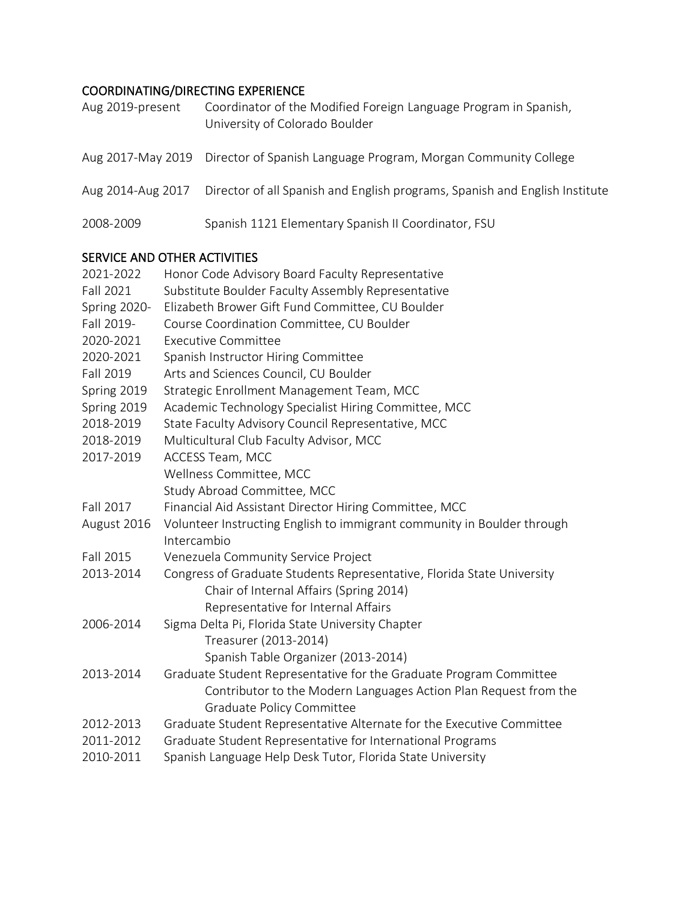## COORDINATING/DIRECTING EXPERIENCE

| Aug 2019-present  | Coordinator of the Modified Foreign Language Program in Spanish,<br>University of Colorado Boulder |
|-------------------|----------------------------------------------------------------------------------------------------|
|                   | Aug 2017-May 2019 Director of Spanish Language Program, Morgan Community College                   |
| Aug 2014-Aug 2017 | Director of all Spanish and English programs, Spanish and English Institute                        |
| 2008-2009         | Spanish 1121 Elementary Spanish II Coordinator, FSU                                                |

## SERVICE AND OTHER ACTIVITIES

| 2021-2022        | Honor Code Advisory Board Faculty Representative                                                                                       |  |
|------------------|----------------------------------------------------------------------------------------------------------------------------------------|--|
| <b>Fall 2021</b> | Substitute Boulder Faculty Assembly Representative                                                                                     |  |
| Spring 2020-     | Elizabeth Brower Gift Fund Committee, CU Boulder                                                                                       |  |
| Fall 2019-       | Course Coordination Committee, CU Boulder                                                                                              |  |
| 2020-2021        | <b>Executive Committee</b>                                                                                                             |  |
| 2020-2021        | Spanish Instructor Hiring Committee                                                                                                    |  |
| Fall 2019        | Arts and Sciences Council, CU Boulder                                                                                                  |  |
| Spring 2019      | Strategic Enrollment Management Team, MCC                                                                                              |  |
| Spring 2019      | Academic Technology Specialist Hiring Committee, MCC                                                                                   |  |
| 2018-2019        | State Faculty Advisory Council Representative, MCC                                                                                     |  |
| 2018-2019        | Multicultural Club Faculty Advisor, MCC                                                                                                |  |
| 2017-2019        | ACCESS Team, MCC                                                                                                                       |  |
|                  | Wellness Committee, MCC                                                                                                                |  |
|                  | Study Abroad Committee, MCC                                                                                                            |  |
| Fall 2017        | Financial Aid Assistant Director Hiring Committee, MCC                                                                                 |  |
| August 2016      | Volunteer Instructing English to immigrant community in Boulder through                                                                |  |
|                  | Intercambio                                                                                                                            |  |
| Fall 2015        | Venezuela Community Service Project                                                                                                    |  |
| 2013-2014        | Congress of Graduate Students Representative, Florida State University<br>Chair of Internal Affairs (Spring 2014)                      |  |
|                  | Representative for Internal Affairs                                                                                                    |  |
| 2006-2014        | Sigma Delta Pi, Florida State University Chapter                                                                                       |  |
|                  | Treasurer (2013-2014)                                                                                                                  |  |
|                  | Spanish Table Organizer (2013-2014)                                                                                                    |  |
| 2013-2014        | Graduate Student Representative for the Graduate Program Committee<br>Contributor to the Modern Languages Action Plan Request from the |  |
|                  | <b>Graduate Policy Committee</b>                                                                                                       |  |
| 2012-2013        | Graduate Student Representative Alternate for the Executive Committee                                                                  |  |
| 2011-2012        | Graduate Student Representative for International Programs                                                                             |  |
| 2010-2011        | Spanish Language Help Desk Tutor, Florida State University                                                                             |  |
|                  |                                                                                                                                        |  |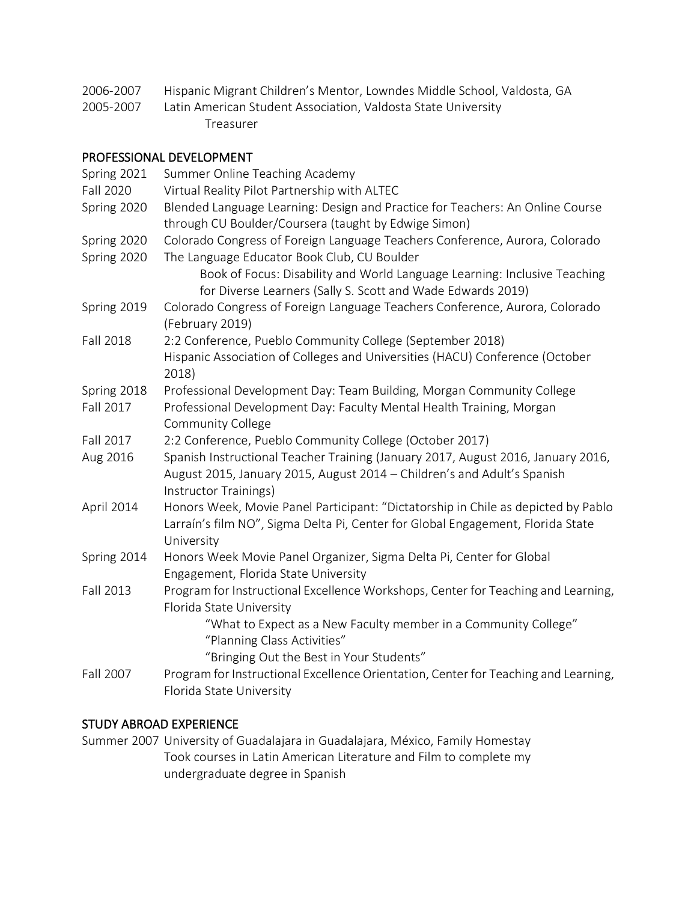- 2006-2007 Hispanic Migrant Children's Mentor, Lowndes Middle School, Valdosta, GA
- 2005-2007 Latin American Student Association, Valdosta State University Treasurer

## PROFESSIONAL DEVELOPMENT

| Spring 2021      | Summer Online Teaching Academy                                                                                                                                                       |
|------------------|--------------------------------------------------------------------------------------------------------------------------------------------------------------------------------------|
| <b>Fall 2020</b> | Virtual Reality Pilot Partnership with ALTEC                                                                                                                                         |
| Spring 2020      | Blended Language Learning: Design and Practice for Teachers: An Online Course                                                                                                        |
|                  | through CU Boulder/Coursera (taught by Edwige Simon)                                                                                                                                 |
| Spring 2020      | Colorado Congress of Foreign Language Teachers Conference, Aurora, Colorado                                                                                                          |
| Spring 2020      | The Language Educator Book Club, CU Boulder                                                                                                                                          |
|                  | Book of Focus: Disability and World Language Learning: Inclusive Teaching                                                                                                            |
|                  | for Diverse Learners (Sally S. Scott and Wade Edwards 2019)                                                                                                                          |
| Spring 2019      | Colorado Congress of Foreign Language Teachers Conference, Aurora, Colorado                                                                                                          |
|                  | (February 2019)                                                                                                                                                                      |
| <b>Fall 2018</b> | 2:2 Conference, Pueblo Community College (September 2018)                                                                                                                            |
|                  | Hispanic Association of Colleges and Universities (HACU) Conference (October<br>2018)                                                                                                |
| Spring 2018      | Professional Development Day: Team Building, Morgan Community College                                                                                                                |
| Fall 2017        | Professional Development Day: Faculty Mental Health Training, Morgan                                                                                                                 |
|                  | <b>Community College</b>                                                                                                                                                             |
| Fall 2017        | 2:2 Conference, Pueblo Community College (October 2017)                                                                                                                              |
| Aug 2016         | Spanish Instructional Teacher Training (January 2017, August 2016, January 2016,<br>August 2015, January 2015, August 2014 - Children's and Adult's Spanish<br>Instructor Trainings) |
| April 2014       | Honors Week, Movie Panel Participant: "Dictatorship in Chile as depicted by Pablo                                                                                                    |
|                  | Larraín's film NO", Sigma Delta Pi, Center for Global Engagement, Florida State<br>University                                                                                        |
| Spring 2014      | Honors Week Movie Panel Organizer, Sigma Delta Pi, Center for Global                                                                                                                 |
|                  | Engagement, Florida State University                                                                                                                                                 |
| Fall 2013        | Program for Instructional Excellence Workshops, Center for Teaching and Learning,<br>Florida State University                                                                        |
|                  | "What to Expect as a New Faculty member in a Community College"<br>"Planning Class Activities"                                                                                       |
|                  | "Bringing Out the Best in Your Students"                                                                                                                                             |
| Fall 2007        | Program for Instructional Excellence Orientation, Center for Teaching and Learning,<br>Florida State University                                                                      |

## STUDY ABROAD EXPERIENCE

Summer 2007 University of Guadalajara in Guadalajara, México, Family Homestay Took courses in Latin American Literature and Film to complete my undergraduate degree in Spanish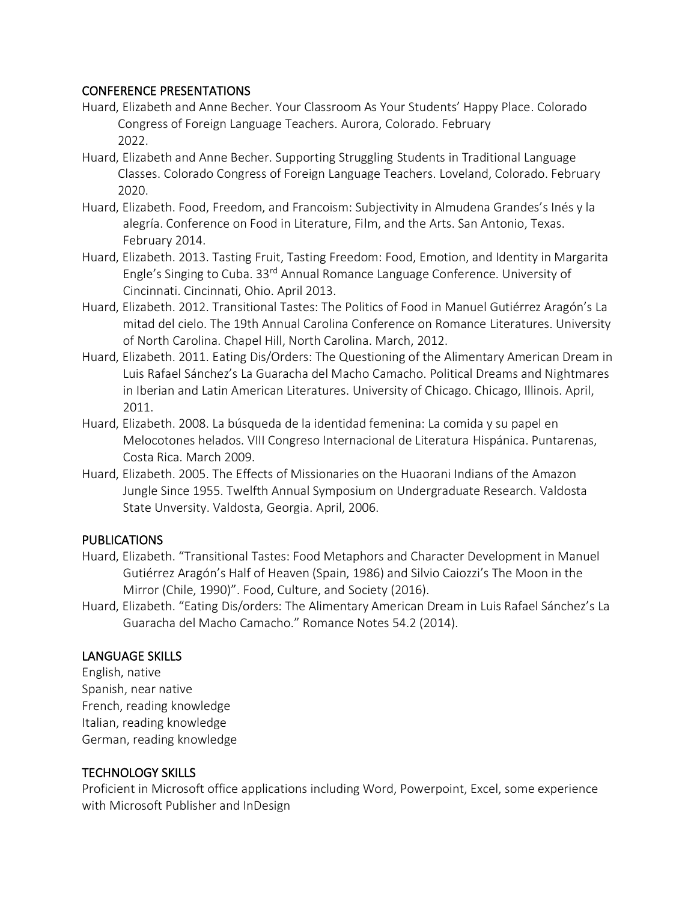#### CONFERENCE PRESENTATIONS

- Huard, Elizabeth and Anne Becher. Your Classroom As Your Students' Happy Place. Colorado Congress of Foreign Language Teachers. Aurora, Colorado. February 2022.
- Huard, Elizabeth and Anne Becher. Supporting Struggling Students in Traditional Language Classes. Colorado Congress of Foreign Language Teachers. Loveland, Colorado. February 2020.
- Huard, Elizabeth. Food, Freedom, and Francoism: Subjectivity in Almudena Grandes's Inés y la alegría. Conference on Food in Literature, Film, and the Arts. San Antonio, Texas. February 2014.
- Huard, Elizabeth. 2013. Tasting Fruit, Tasting Freedom: Food, Emotion, and Identity in Margarita Engle's Singing to Cuba. 33rd Annual Romance Language Conference. University of Cincinnati. Cincinnati, Ohio. April 2013.
- Huard, Elizabeth. 2012. Transitional Tastes: The Politics of Food in Manuel Gutiérrez Aragón's La mitad del cielo. The 19th Annual Carolina Conference on Romance Literatures. University of North Carolina. Chapel Hill, North Carolina. March, 2012.
- Huard, Elizabeth. 2011. Eating Dis/Orders: The Questioning of the Alimentary American Dream in Luis Rafael Sánchez's La Guaracha del Macho Camacho. Political Dreams and Nightmares in Iberian and Latin American Literatures. University of Chicago. Chicago, Illinois. April, 2011.
- Huard, Elizabeth. 2008. La búsqueda de la identidad femenina: La comida y su papel en Melocotones helados. VIII Congreso Internacional de Literatura Hispánica. Puntarenas, Costa Rica. March 2009.
- Huard, Elizabeth. 2005. The Effects of Missionaries on the Huaorani Indians of the Amazon Jungle Since 1955. Twelfth Annual Symposium on Undergraduate Research. Valdosta State Unversity. Valdosta, Georgia. April, 2006.

## PUBLICATIONS

- Huard, Elizabeth. "Transitional Tastes: Food Metaphors and Character Development in Manuel Gutiérrez Aragón's Half of Heaven (Spain, 1986) and Silvio Caiozzi's The Moon in the Mirror (Chile, 1990)". Food, Culture, and Society (2016).
- Huard, Elizabeth. "Eating Dis/orders: The Alimentary American Dream in Luis Rafael Sánchez's La Guaracha del Macho Camacho." Romance Notes 54.2 (2014).

#### LANGUAGE SKILLS

English, native Spanish, near native French, reading knowledge Italian, reading knowledge German, reading knowledge

## TECHNOLOGY SKILLS

Proficient in Microsoft office applications including Word, Powerpoint, Excel, some experience with Microsoft Publisher and InDesign